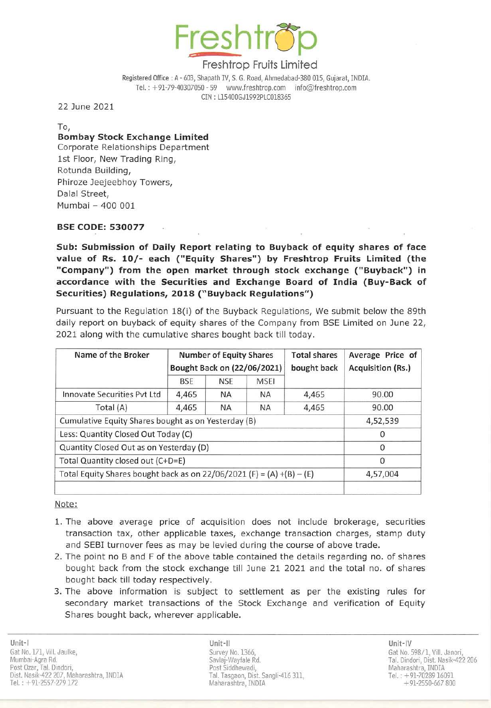

Registered Office: A - 603, Shapath IV, S. G. Road, Ahmedabad-380 015, Gujarat, INDIA. Tel. : + 91-79-40307050 - 59 www.freshtrop.com info@freshtrop.com eIN : 115400GJ1992PLC018365

22 June 2021

To, Bombay Stock Exchange Limited Corporate Relationships Department 1st Floor, New Trading Ring, Rotunda Building, Phiroze Jeejeebhoy Towers, Dalal Street, Mumbai - 400 001

## BSE CODE: 530077

Sub: Submission of Daily Report relating to Buyback of equity shares of face value of Rs. 10/- each ("Equity Shares") by Freshtrop Fruits Limited (the "Company") from the open market through stock exchange ("Buyback") in accordance with the Securities and Exchange Board of India (Buy-Back of Securities) Regulations, 2018 ("Buyback Regulations")

Pursuant to the Regulation 18(i) of the Buyback Regulations, We submit below the 89th daily report on buyback of equity shares of the Company from BSE Limited on June 22, 2021 along with the cumulative shares bought back till today.

| Name of the Broker                                                    | <b>Number of Equity Shares</b><br>Bought Back on (22/06/2021) |            |             | <b>Total shares</b><br>bought back | Average Price of<br>Acquisition (Rs.) |
|-----------------------------------------------------------------------|---------------------------------------------------------------|------------|-------------|------------------------------------|---------------------------------------|
|                                                                       | <b>BSE</b>                                                    | <b>NSE</b> | <b>MSEI</b> |                                    |                                       |
| Innovate Securities Pvt Ltd                                           | 4,465                                                         | NA         | <b>NA</b>   | 4,465                              | 90.00                                 |
| Total (A)                                                             | 4,465                                                         | <b>NA</b>  | <b>NA</b>   | 4,465                              | 90.00                                 |
| Cumulative Equity Shares bought as on Yesterday (B)                   |                                                               |            |             |                                    | 4,52,539                              |
| Less: Quantity Closed Out Today (C)                                   |                                                               |            |             |                                    | 0                                     |
| Quantity Closed Out as on Yesterday (D)                               |                                                               |            |             |                                    | $\Omega$                              |
| Total Quantity closed out (C+D=E)                                     |                                                               |            |             |                                    | 0                                     |
| Total Equity Shares bought back as on 22/06/2021 (F) = (A) +(B) - (E) |                                                               |            |             |                                    | 4,57,004                              |
|                                                                       |                                                               |            |             |                                    |                                       |

Note:

- 1. The above average price of acquisition does not include brokerage, securities transaction tax, other applicable taxes, exchange transaction charges, stamp duty and SESI turnover fees as may be levied during the course of above trade.
- 2. The point no B and F of the above table contained the details regarding no. of shares bought back from the stock exchange till June 21 2021 and the total no. of shares bought back till today respectively.
- 3. The above information is subject to settlement as per the existing rules for secondary market transactions of the Stock Exchange and verification of Equity Shares bought back, wherever applicable.

Unit-II Unit-IV Survey No. 1366, Savlaj-Wayfale Rd. Post Siddhewadi, Tal. Tasgaon, Dist. Sangli-416 311, Maharashtra, INDIA